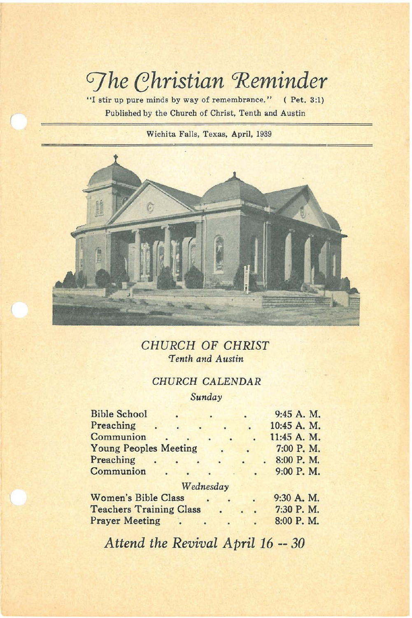# *Ghristian* Reminder

**"I stir up pure minds by way of remembrance." (Pet. 3:1) Published by the Church of Christ, Tenth and Austin**

*r*

**Wichita Falls, Texas, April, 1939**



*CHURCH* OF *CHRIST 'Tenth and Austin*

# *CHURCH CALENDAR*

*Sunday*

|                              |                                |           | 9:45 A. M.  |
|------------------------------|--------------------------------|-----------|-------------|
|                              |                                |           | 10:45 A. M. |
| $\sim$                       |                                |           | 11:45 A. M. |
| <b>Young Peoples Meeting</b> |                                |           | 7:00 P.M.   |
| ä                            |                                |           | 8:00 P.M.   |
|                              |                                |           | 9:00 P.M.   |
|                              |                                |           |             |
| <b>Women's Bible Class</b>   |                                |           | 9:30 A. M.  |
|                              |                                |           | 7:30 P.M.   |
| <b>Prayer Meeting</b>        |                                |           | 8:00 P.M.   |
|                              | <b>Teachers Training Class</b> | Wednesday |             |

*Attend the Revival April* 16 **--** *30*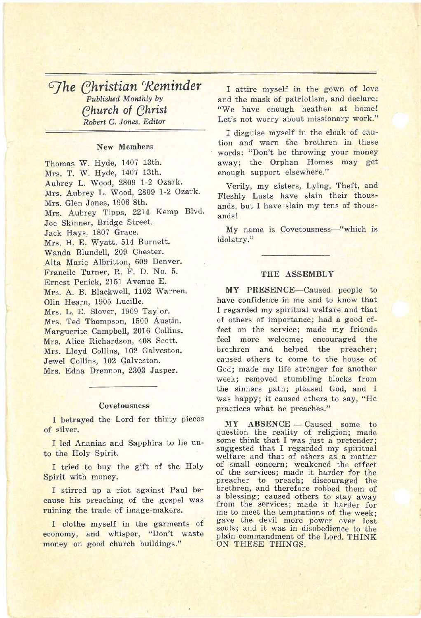# *G]he ehristian 'Reminder Published Monthly* by *(?hurch* of *(?hrist Robert* C. *Jones, Editor*

#### New Members

Thomas W. Hyde, 1407 13th. Mrs. T. W. Hyde, 1407 13th. Aubrey L. Wood, 2809 1-2 Ozark. Mrs. Aubrey L. Wood, 2809 1-2 Ozark. Mrs. Glen Jones, 1906 8th. Mrs. Aubrey Tipps, 2214 Kemp Blvd. Joe Skinner, Bridge Street. Jack Hays, 1807 Grace. Mrs. H. E. Wyatt, 514 Burnett. Wanda Blundell, 209 Chester. Alta Marie Albritton, 609 Denver. Francile Turner, R. F. D. No.5. Ernest Penick, 2151 Avenue E. Mrs. A. B. Blackwell, 1102 Warren. Olin Hearn, 1905 Lucille. Mrs. L. E. Slover, 1909 Tay:or. Mrs. Ted Thompson, 1500 Austin. Marguerite Campbell, 2016 Collins. Mrs. Alice Richardson, 408 Scott. Mrs. Lloyd Collins, 102 Galveston. Jewel Collins, 102 Galveston. Mrs. Edna Drennon, 2303 Jasper.

#### Covetousness

I betrayed the Lord for thirty pieces of silver.

I led Ananias and Sapphira to lie unto the Holy Spirit.

I tried to buy the gift of the Holy Spirit with money.

I stirred up a riot against Paul because his preaching of the gospel was ruining the trade of image-makers.

I clothe myself in the garments of economy, and whisper, "Don't waste money on good church buildings."

I attire myself in the gown of love and the mask of patriotism, and declare: "We have enough heathen at home! Let's not worry about missionary work."

I disguise myself in the cloak of caution and' warn the brethren in these words: "Don't be throwing your money away; the Orphan Homes may get enough support elsewhere."

Verily, my sisters, Lying, Theft, and Fleshly Lusts have slain their thousands, but I have slain my tens of thousands!

My name is Covetousness-"which is idolatry."

### THE ASSEMBLY

MY PRESENCE-Caused people to have confidence in me and to know that I regarded my spiritual welfare and that of others of importance; had a good effect on the service; made my friends feel more welcome; encouraged the brethren and helped the preacher; caused others to come to the house of God; made my life stronger for another week; removed stumbling blocks from the sinners path; pleased God, and I was happy; it caused others to say, "He practices what he preaches."

MY ABSENCE - Caused some to question the reality of religion; made some think that I was just a pretender; suggested that I regarded my spiritual welfare and that of others as a matter of small concern; weakened the effect of the services; made it harder for the preacher to preach; discouraged the brethren, and therefore robbed them of a blessing; caused others to stay away from the services; made it harder for me to meet the temptations of the week; gave the devil more power over lost souls; and it was in disobedience to the plain commandment of the Lord. THINK ON THESE THINGS.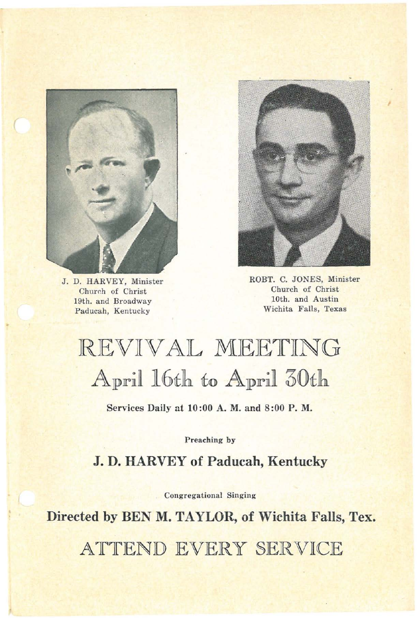

**J. D. HARVEY, Minister Church** of **Christ 19th. and Broadway Paducah, Kentucky**



ROBT. C. JONES, Minister **Church of Christ 10th. and Austin Wichita Falls, Texas**

# REVIVAL MEETING April 16th to April 30th

Services Daily at 10:00 A. M. and 8:00 P. M.

**Preaching by**

**J. D. HARVEY of Paducah, Kentucky**

**Congregational Singing**

**Directed by BEN M. TAYLOR, of Wichita Falls, Tex.**

ATTEND EVERY SERVICE